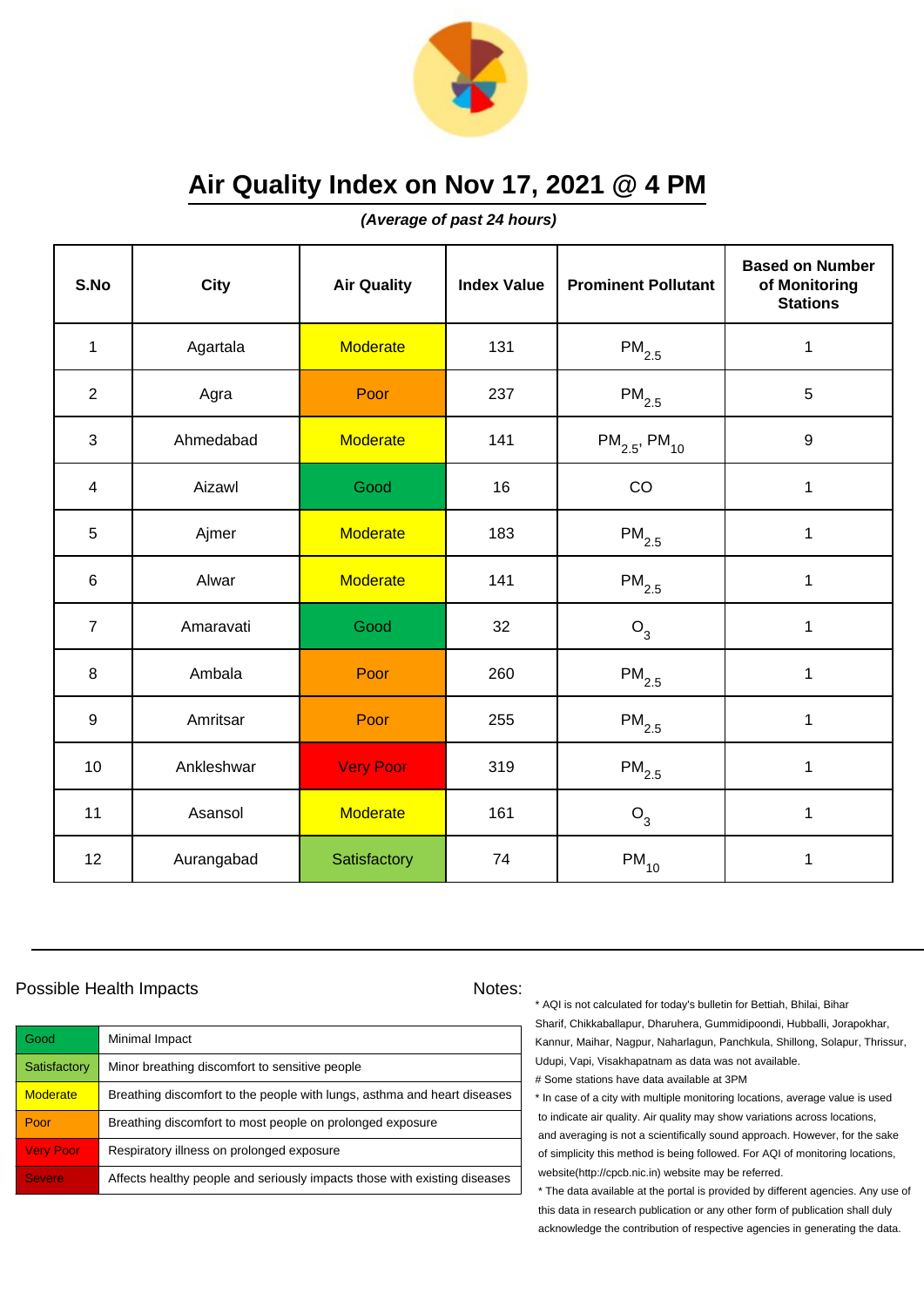

**(Average of past 24 hours)**

| S.No           | <b>City</b> | <b>Air Quality</b> | <b>Index Value</b> | <b>Prominent Pollutant</b>    | <b>Based on Number</b><br>of Monitoring<br><b>Stations</b> |
|----------------|-------------|--------------------|--------------------|-------------------------------|------------------------------------------------------------|
| $\mathbf{1}$   | Agartala    | <b>Moderate</b>    | 131                | $\mathsf{PM}_{2.5}$           | $\mathbf 1$                                                |
| $\overline{2}$ | Agra        | Poor               | 237                | $PM_{2.5}$                    | 5                                                          |
| 3              | Ahmedabad   | <b>Moderate</b>    | 141                | $PM_{2.5}$ , PM <sub>10</sub> | $\boldsymbol{9}$                                           |
| 4              | Aizawl      | Good               | 16                 | CO                            | $\mathbf{1}$                                               |
| 5              | Ajmer       | <b>Moderate</b>    | 183                | $PM_{2.5}$                    | 1                                                          |
| 6              | Alwar       | <b>Moderate</b>    | 141                | $\mathsf{PM}_{2.5}$           | 1                                                          |
| $\overline{7}$ | Amaravati   | Good               | 32                 | $O_3$                         | $\mathbf{1}$                                               |
| 8              | Ambala      | Poor               | 260                | $PM_{2.5}$                    | $\mathbf{1}$                                               |
| $9\,$          | Amritsar    | Poor               | 255                | $PM_{2.5}$                    | $\mathbf 1$                                                |
| 10             | Ankleshwar  | <b>Very Poor</b>   | 319                | $\mathsf{PM}_{2.5}$           | 1                                                          |
| 11             | Asansol     | <b>Moderate</b>    | 161                | O <sub>3</sub>                | 1                                                          |
| 12             | Aurangabad  | Satisfactory       | 74                 | $\mathsf{PM}_{10}$            | 1                                                          |

### Possible Health Impacts Notes:

| Good             | Minimal Impact                                                            |
|------------------|---------------------------------------------------------------------------|
| Satisfactory     | Minor breathing discomfort to sensitive people                            |
| <b>Moderate</b>  | Breathing discomfort to the people with lungs, asthma and heart diseases  |
| Poor             | Breathing discomfort to most people on prolonged exposure                 |
| <b>Very Poor</b> | Respiratory illness on prolonged exposure                                 |
| <b>Severe</b>    | Affects healthy people and seriously impacts those with existing diseases |

\* AQI is not calculated for today's bulletin for Bettiah, Bhilai, Bihar Sharif, Chikkaballapur, Dharuhera, Gummidipoondi, Hubballi, Jorapokhar, Kannur, Maihar, Nagpur, Naharlagun, Panchkula, Shillong, Solapur, Thrissur, Udupi, Vapi, Visakhapatnam as data was not available. # Some stations have data available at 3PM

\* In case of a city with multiple monitoring locations, average value is used to indicate air quality. Air quality may show variations across locations, and averaging is not a scientifically sound approach. However, for the sake of simplicity this method is being followed. For AQI of monitoring locations, website(http://cpcb.nic.in) website may be referred.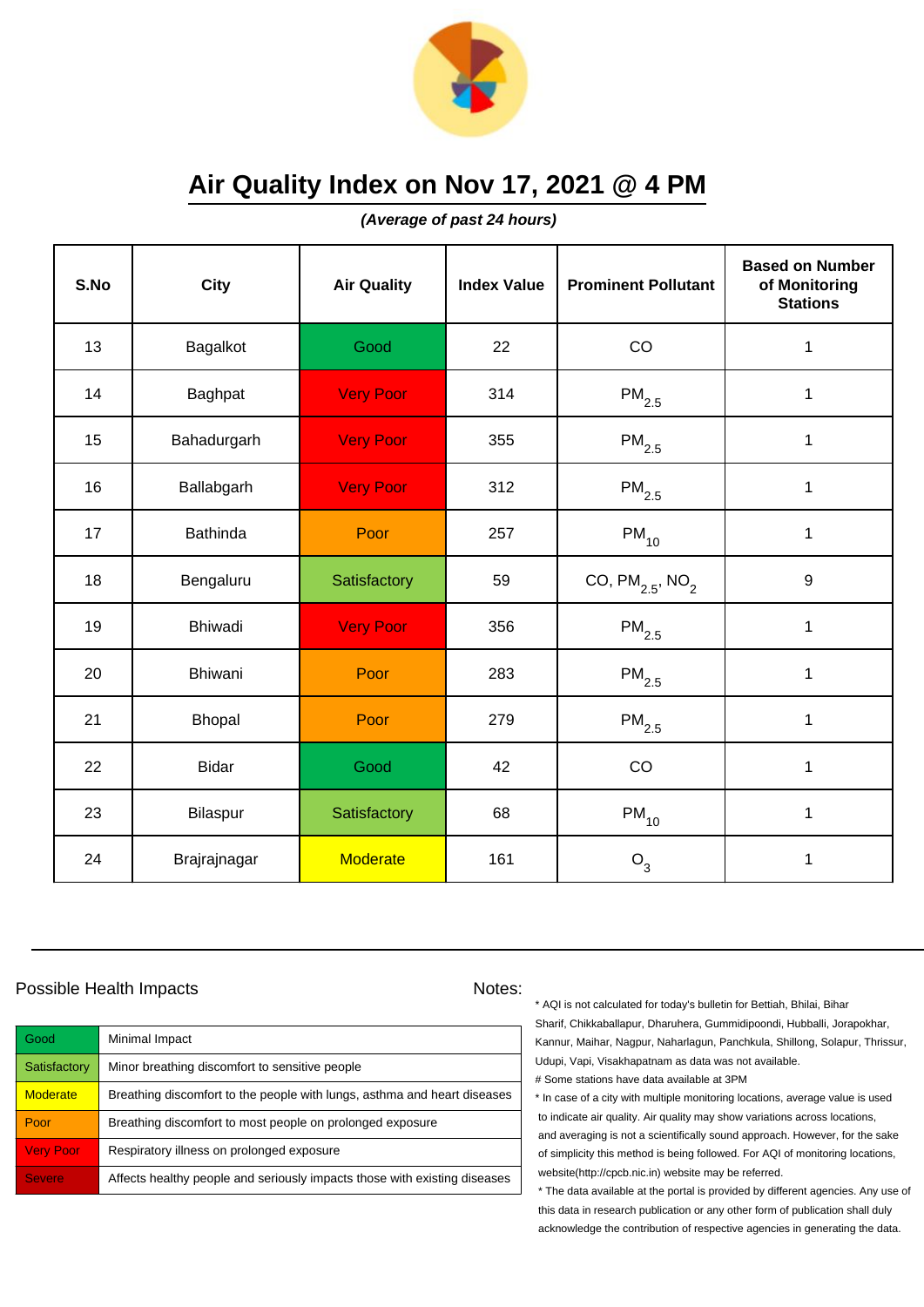

**(Average of past 24 hours)**

| S.No | <b>City</b>     | <b>Air Quality</b> | <b>Index Value</b> | <b>Prominent Pollutant</b>       | <b>Based on Number</b><br>of Monitoring<br><b>Stations</b> |
|------|-----------------|--------------------|--------------------|----------------------------------|------------------------------------------------------------|
| 13   | Bagalkot        | Good               | 22                 | CO                               | $\mathbf 1$                                                |
| 14   | Baghpat         | <b>Very Poor</b>   | 314                | $\mathsf{PM}_{2.5}$              | $\mathbf 1$                                                |
| 15   | Bahadurgarh     | <b>Very Poor</b>   | 355                | $\mathsf{PM}_{2.5}$              | 1                                                          |
| 16   | Ballabgarh      | <b>Very Poor</b>   | 312                | $\mathsf{PM}_{2.5}$              | 1                                                          |
| 17   | <b>Bathinda</b> | Poor               | 257                | $PM_{10}$                        | $\mathbf 1$                                                |
| 18   | Bengaluru       | Satisfactory       | 59                 | CO, $PM_{2.5}$ , NO <sub>2</sub> | 9                                                          |
| 19   | Bhiwadi         | <b>Very Poor</b>   | 356                | $\mathsf{PM}_{2.5}$              | $\mathbf{1}$                                               |
| 20   | Bhiwani         | Poor               | 283                | $PM_{2.5}$                       | $\mathbf{1}$                                               |
| 21   | Bhopal          | Poor               | 279                | $PM_{2.5}$                       | $\mathbf 1$                                                |
| 22   | <b>Bidar</b>    | Good               | 42                 | CO                               | 1                                                          |
| 23   | Bilaspur        | Satisfactory       | 68                 | $PM_{10}$                        | $\mathbf{1}$                                               |
| 24   | Brajrajnagar    | <b>Moderate</b>    | 161                | $O_3$                            | 1                                                          |

### Possible Health Impacts Notes:

| Good             | Minimal Impact                                                            |
|------------------|---------------------------------------------------------------------------|
| Satisfactory     | Minor breathing discomfort to sensitive people                            |
| <b>Moderate</b>  | Breathing discomfort to the people with lungs, asthma and heart diseases  |
| Poor             | Breathing discomfort to most people on prolonged exposure                 |
| <b>Very Poor</b> | Respiratory illness on prolonged exposure                                 |
| <b>Severe</b>    | Affects healthy people and seriously impacts those with existing diseases |

\* AQI is not calculated for today's bulletin for Bettiah, Bhilai, Bihar Sharif, Chikkaballapur, Dharuhera, Gummidipoondi, Hubballi, Jorapokhar, Kannur, Maihar, Nagpur, Naharlagun, Panchkula, Shillong, Solapur, Thrissur, Udupi, Vapi, Visakhapatnam as data was not available. # Some stations have data available at 3PM

\* In case of a city with multiple monitoring locations, average value is used to indicate air quality. Air quality may show variations across locations, and averaging is not a scientifically sound approach. However, for the sake of simplicity this method is being followed. For AQI of monitoring locations, website(http://cpcb.nic.in) website may be referred.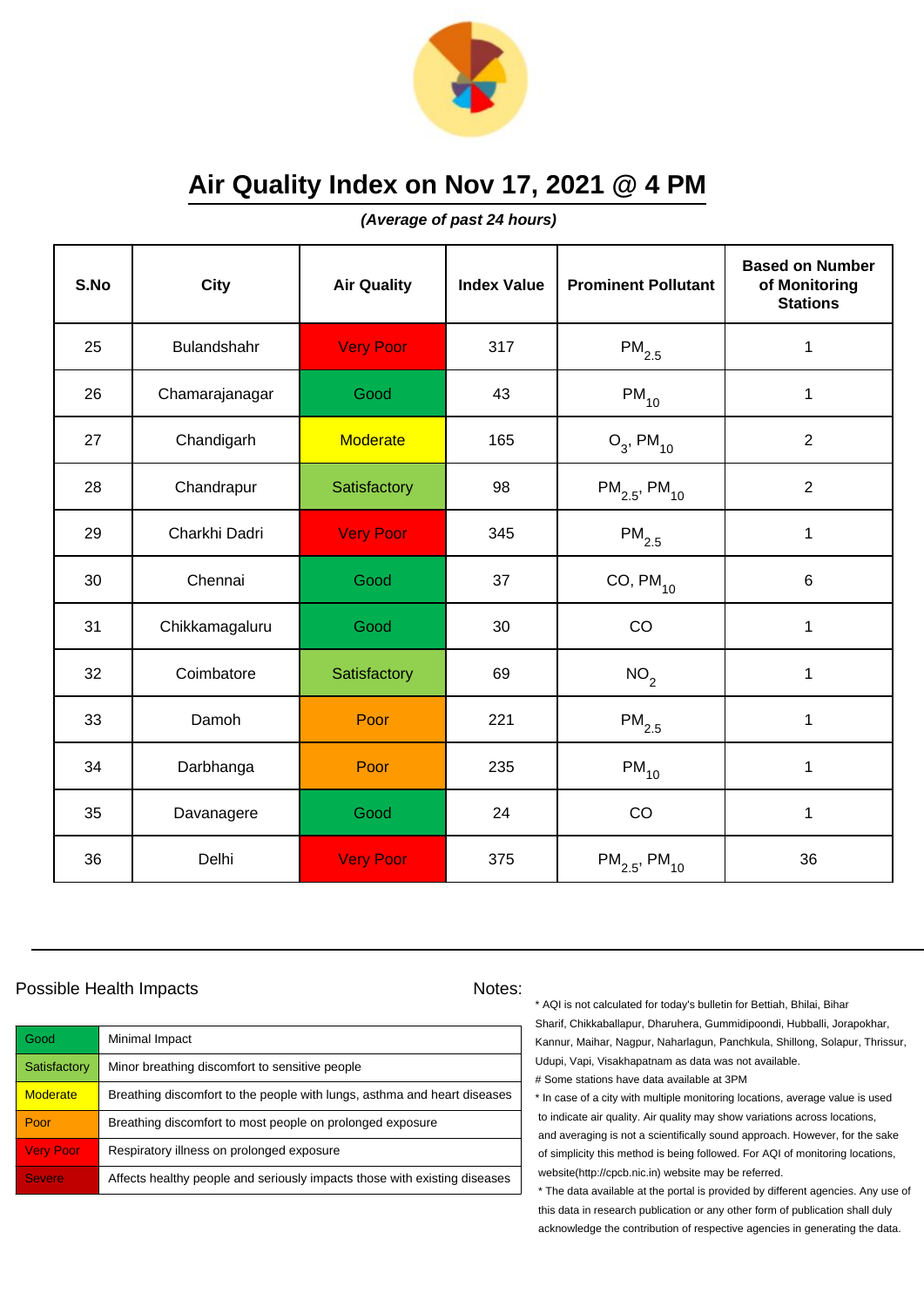

**(Average of past 24 hours)**

| S.No | <b>City</b>    | <b>Air Quality</b> | <b>Index Value</b> | <b>Prominent Pollutant</b>    | <b>Based on Number</b><br>of Monitoring<br><b>Stations</b> |
|------|----------------|--------------------|--------------------|-------------------------------|------------------------------------------------------------|
| 25   | Bulandshahr    | <b>Very Poor</b>   | 317                | $\mathsf{PM}_{2.5}$           | $\mathbf 1$                                                |
| 26   | Chamarajanagar | Good               | 43                 | $\mathsf{PM}_{10}$            | $\mathbf 1$                                                |
| 27   | Chandigarh     | <b>Moderate</b>    | 165                | $O_3$ , PM <sub>10</sub>      | $\overline{2}$                                             |
| 28   | Chandrapur     | Satisfactory       | 98                 | $PM_{2.5}$ , PM <sub>10</sub> | $\overline{2}$                                             |
| 29   | Charkhi Dadri  | <b>Very Poor</b>   | 345                | $\mathsf{PM}_{2.5}$           | 1                                                          |
| 30   | Chennai        | Good               | 37                 | CO, $PM_{10}$                 | 6                                                          |
| 31   | Chikkamagaluru | Good               | 30                 | CO                            | 1                                                          |
| 32   | Coimbatore     | Satisfactory       | 69                 | NO <sub>2</sub>               | 1                                                          |
| 33   | Damoh          | Poor               | 221                | $PM_{2.5}$                    | $\mathbf 1$                                                |
| 34   | Darbhanga      | Poor               | 235                | $PM_{10}$                     | 1                                                          |
| 35   | Davanagere     | Good               | 24                 | CO                            | $\mathbf{1}$                                               |
| 36   | Delhi          | <b>Very Poor</b>   | 375                | $PM_{2.5}$ , PM <sub>10</sub> | 36                                                         |

### Possible Health Impacts Notes:

| Good                | Minimal Impact                                                            |
|---------------------|---------------------------------------------------------------------------|
| <b>Satisfactory</b> | Minor breathing discomfort to sensitive people                            |
| <b>Moderate</b>     | Breathing discomfort to the people with lungs, asthma and heart diseases  |
| Poor                | Breathing discomfort to most people on prolonged exposure                 |
| <b>Very Poor</b>    | Respiratory illness on prolonged exposure                                 |
| <b>Severe</b>       | Affects healthy people and seriously impacts those with existing diseases |

\* AQI is not calculated for today's bulletin for Bettiah, Bhilai, Bihar Sharif, Chikkaballapur, Dharuhera, Gummidipoondi, Hubballi, Jorapokhar, Kannur, Maihar, Nagpur, Naharlagun, Panchkula, Shillong, Solapur, Thrissur, Udupi, Vapi, Visakhapatnam as data was not available. # Some stations have data available at 3PM

\* In case of a city with multiple monitoring locations, average value is used to indicate air quality. Air quality may show variations across locations, and averaging is not a scientifically sound approach. However, for the sake of simplicity this method is being followed. For AQI of monitoring locations, website(http://cpcb.nic.in) website may be referred.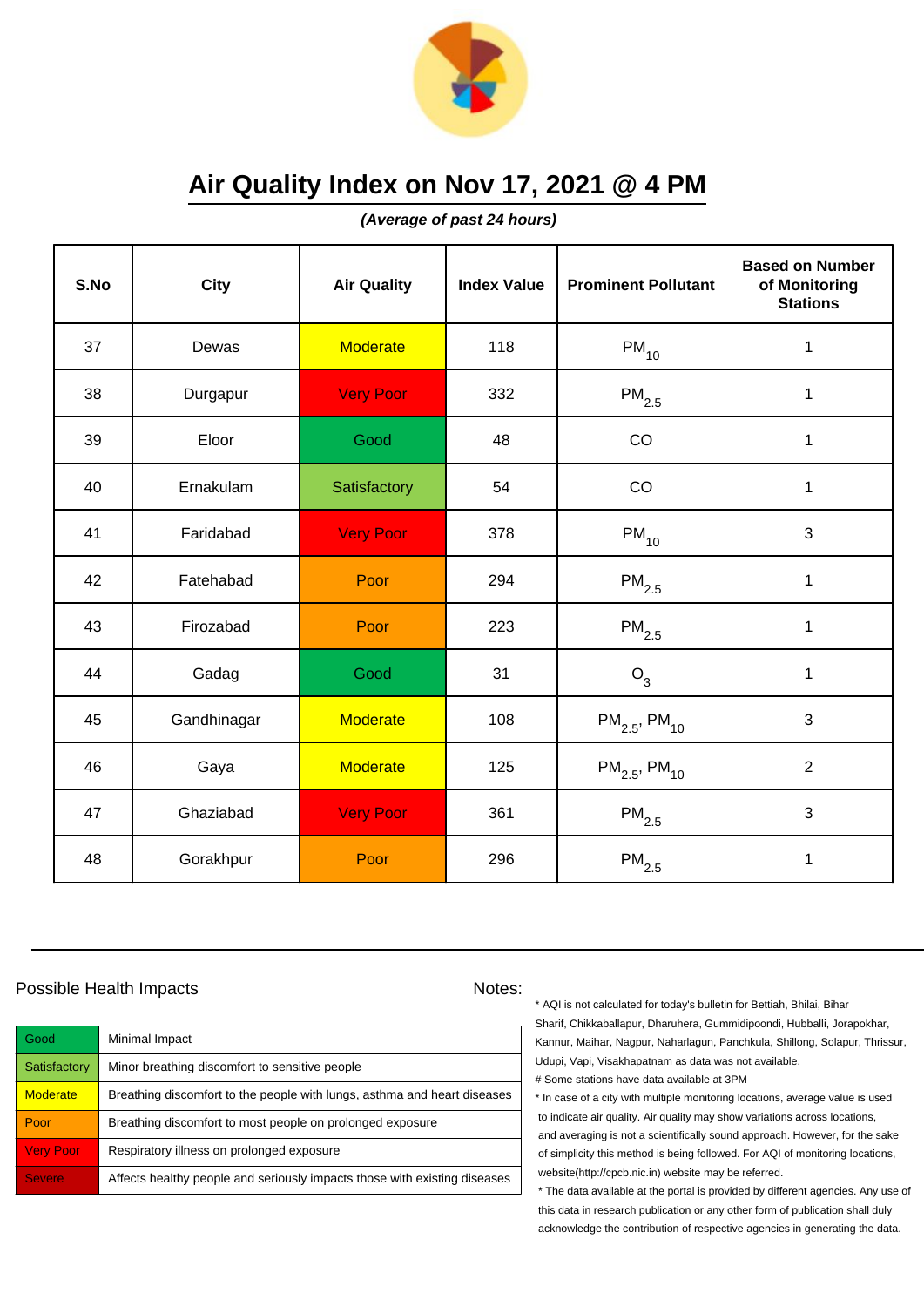

**(Average of past 24 hours)**

| S.No | <b>City</b> | <b>Air Quality</b> | <b>Index Value</b> | <b>Prominent Pollutant</b>    | <b>Based on Number</b><br>of Monitoring<br><b>Stations</b> |
|------|-------------|--------------------|--------------------|-------------------------------|------------------------------------------------------------|
| 37   | Dewas       | <b>Moderate</b>    | 118                | $PM_{10}$                     | $\mathbf 1$                                                |
| 38   | Durgapur    | <b>Very Poor</b>   | 332                | $\mathsf{PM}_{2.5}$           | 1                                                          |
| 39   | Eloor       | Good               | 48                 | CO                            | 1                                                          |
| 40   | Ernakulam   | Satisfactory       | 54                 | CO                            | 1                                                          |
| 41   | Faridabad   | <b>Very Poor</b>   | 378                | $PM_{10}$                     | 3                                                          |
| 42   | Fatehabad   | Poor               | 294                | $\mathsf{PM}_{2.5}$           | $\mathbf 1$                                                |
| 43   | Firozabad   | Poor               | 223                | $\mathsf{PM}_{2.5}$           | $\mathbf{1}$                                               |
| 44   | Gadag       | Good               | 31                 | $O_3$                         | 1                                                          |
| 45   | Gandhinagar | <b>Moderate</b>    | 108                | $PM_{2.5}$ , PM <sub>10</sub> | 3                                                          |
| 46   | Gaya        | <b>Moderate</b>    | 125                | $PM_{2.5}$ , PM <sub>10</sub> | $\overline{2}$                                             |
| 47   | Ghaziabad   | <b>Very Poor</b>   | 361                | $\mathsf{PM}_{2.5}$           | 3                                                          |
| 48   | Gorakhpur   | Poor               | 296                | $\mathsf{PM}_{2.5}$           | 1                                                          |

### Possible Health Impacts Notes:

| Good             | Minimal Impact                                                            |
|------------------|---------------------------------------------------------------------------|
| Satisfactory     | Minor breathing discomfort to sensitive people                            |
| <b>Moderate</b>  | Breathing discomfort to the people with lungs, asthma and heart diseases  |
| Poor             | Breathing discomfort to most people on prolonged exposure                 |
| <b>Very Poor</b> | Respiratory illness on prolonged exposure                                 |
| <b>Severe</b>    | Affects healthy people and seriously impacts those with existing diseases |

\* AQI is not calculated for today's bulletin for Bettiah, Bhilai, Bihar Sharif, Chikkaballapur, Dharuhera, Gummidipoondi, Hubballi, Jorapokhar, Kannur, Maihar, Nagpur, Naharlagun, Panchkula, Shillong, Solapur, Thrissur, Udupi, Vapi, Visakhapatnam as data was not available. # Some stations have data available at 3PM

\* In case of a city with multiple monitoring locations, average value is used to indicate air quality. Air quality may show variations across locations, and averaging is not a scientifically sound approach. However, for the sake of simplicity this method is being followed. For AQI of monitoring locations, website(http://cpcb.nic.in) website may be referred.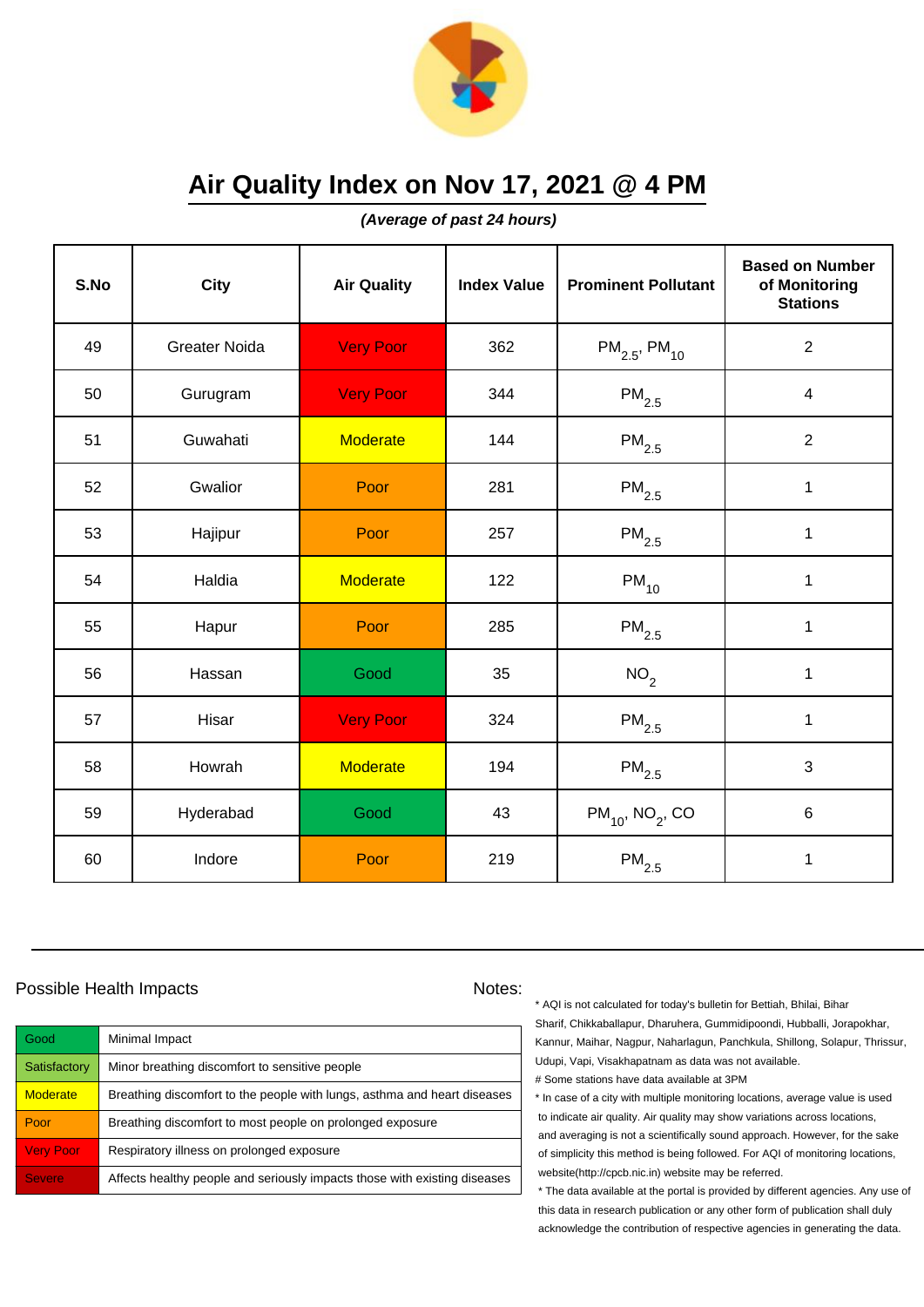

**(Average of past 24 hours)**

| S.No | <b>City</b>          | <b>Air Quality</b> | <b>Index Value</b> | <b>Prominent Pollutant</b>       | <b>Based on Number</b><br>of Monitoring<br><b>Stations</b> |
|------|----------------------|--------------------|--------------------|----------------------------------|------------------------------------------------------------|
| 49   | <b>Greater Noida</b> | <b>Very Poor</b>   | 362                | $PM_{2.5}$ , PM <sub>10</sub>    | $\overline{2}$                                             |
| 50   | Gurugram             | <b>Very Poor</b>   | 344                | $\mathsf{PM}_{2.5}$              | 4                                                          |
| 51   | Guwahati             | <b>Moderate</b>    | 144                | $\mathsf{PM}_{2.5}$              | $\overline{2}$                                             |
| 52   | Gwalior              | Poor               | 281                | $\mathsf{PM}_{2.5}$              | $\mathbf 1$                                                |
| 53   | Hajipur              | Poor               | 257                | $PM_{2.5}$                       | $\mathbf 1$                                                |
| 54   | Haldia               | <b>Moderate</b>    | 122                | $\mathsf{PM}_{10}$               | 1                                                          |
| 55   | Hapur                | Poor               | 285                | $\mathsf{PM}_{2.5}$              | 1                                                          |
| 56   | Hassan               | Good               | 35                 | NO <sub>2</sub>                  | $\mathbf{1}$                                               |
| 57   | Hisar                | <b>Very Poor</b>   | 324                | $\mathsf{PM}_{2.5}$              | $\mathbf 1$                                                |
| 58   | Howrah               | <b>Moderate</b>    | 194                | $\mathsf{PM}_{2.5}$              | 3                                                          |
| 59   | Hyderabad            | Good               | 43                 | $PM_{10}$ , NO <sub>2</sub> , CO | 6                                                          |
| 60   | Indore               | Poor               | 219                | $\mathsf{PM}_{2.5}$              | $\mathbf 1$                                                |

### Possible Health Impacts Notes:

| Good             | Minimal Impact                                                            |
|------------------|---------------------------------------------------------------------------|
| Satisfactory     | Minor breathing discomfort to sensitive people                            |
| <b>Moderate</b>  | Breathing discomfort to the people with lungs, asthma and heart diseases  |
| Poor             | Breathing discomfort to most people on prolonged exposure                 |
| <b>Very Poor</b> | Respiratory illness on prolonged exposure                                 |
| <b>Severe</b>    | Affects healthy people and seriously impacts those with existing diseases |

\* AQI is not calculated for today's bulletin for Bettiah, Bhilai, Bihar Sharif, Chikkaballapur, Dharuhera, Gummidipoondi, Hubballi, Jorapokhar, Kannur, Maihar, Nagpur, Naharlagun, Panchkula, Shillong, Solapur, Thrissur, Udupi, Vapi, Visakhapatnam as data was not available. # Some stations have data available at 3PM

\* In case of a city with multiple monitoring locations, average value is used to indicate air quality. Air quality may show variations across locations, and averaging is not a scientifically sound approach. However, for the sake of simplicity this method is being followed. For AQI of monitoring locations, website(http://cpcb.nic.in) website may be referred.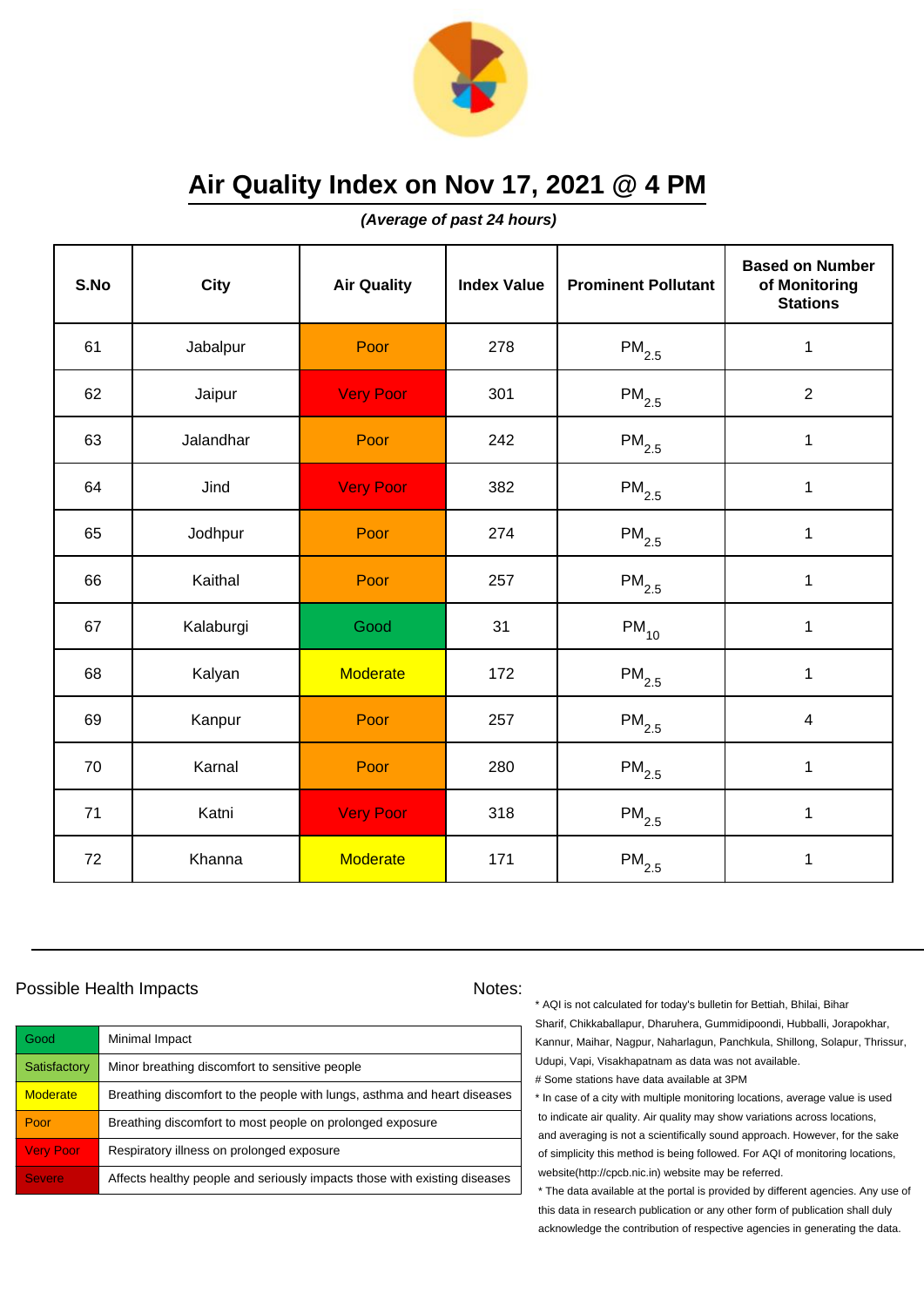

**(Average of past 24 hours)**

| S.No | <b>City</b> | <b>Air Quality</b> | <b>Index Value</b> | <b>Prominent Pollutant</b> | <b>Based on Number</b><br>of Monitoring<br><b>Stations</b> |
|------|-------------|--------------------|--------------------|----------------------------|------------------------------------------------------------|
| 61   | Jabalpur    | Poor               | 278                | $PM_{2.5}$                 | $\mathbf 1$                                                |
| 62   | Jaipur      | <b>Very Poor</b>   | 301                | $PM_{2.5}$                 | $\overline{2}$                                             |
| 63   | Jalandhar   | Poor               | 242                | $\mathsf{PM}_{2.5}$        | 1                                                          |
| 64   | Jind        | <b>Very Poor</b>   | 382                | $\mathsf{PM}_{2.5}$        | $\mathbf{1}$                                               |
| 65   | Jodhpur     | Poor               | 274                | $PM_{2.5}$                 | $\mathbf{1}$                                               |
| 66   | Kaithal     | Poor               | 257                | $\mathsf{PM}_{2.5}$        | 1                                                          |
| 67   | Kalaburgi   | Good               | 31                 | $PM_{10}$                  | $\mathbf{1}$                                               |
| 68   | Kalyan      | <b>Moderate</b>    | 172                | $PM_{2.5}$                 | $\mathbf{1}$                                               |
| 69   | Kanpur      | Poor               | 257                | $PM_{2.5}$                 | $\overline{4}$                                             |
| 70   | Karnal      | Poor               | 280                | $PM_{2.5}$                 | $\mathbf{1}$                                               |
| 71   | Katni       | <b>Very Poor</b>   | 318                | $\mathsf{PM}_{2.5}$        | $\mathbf{1}$                                               |
| 72   | Khanna      | <b>Moderate</b>    | 171                | $\mathsf{PM}_{2.5}$        | $\mathbf 1$                                                |

### Possible Health Impacts Notes:

| Good             | Minimal Impact                                                            |
|------------------|---------------------------------------------------------------------------|
| Satisfactory     | Minor breathing discomfort to sensitive people                            |
| <b>Moderate</b>  | Breathing discomfort to the people with lungs, asthma and heart diseases  |
| Poor             | Breathing discomfort to most people on prolonged exposure                 |
| <b>Very Poor</b> | Respiratory illness on prolonged exposure                                 |
| <b>Severe</b>    | Affects healthy people and seriously impacts those with existing diseases |

\* AQI is not calculated for today's bulletin for Bettiah, Bhilai, Bihar Sharif, Chikkaballapur, Dharuhera, Gummidipoondi, Hubballi, Jorapokhar, Kannur, Maihar, Nagpur, Naharlagun, Panchkula, Shillong, Solapur, Thrissur, Udupi, Vapi, Visakhapatnam as data was not available. # Some stations have data available at 3PM

\* In case of a city with multiple monitoring locations, average value is used to indicate air quality. Air quality may show variations across locations, and averaging is not a scientifically sound approach. However, for the sake of simplicity this method is being followed. For AQI of monitoring locations, website(http://cpcb.nic.in) website may be referred.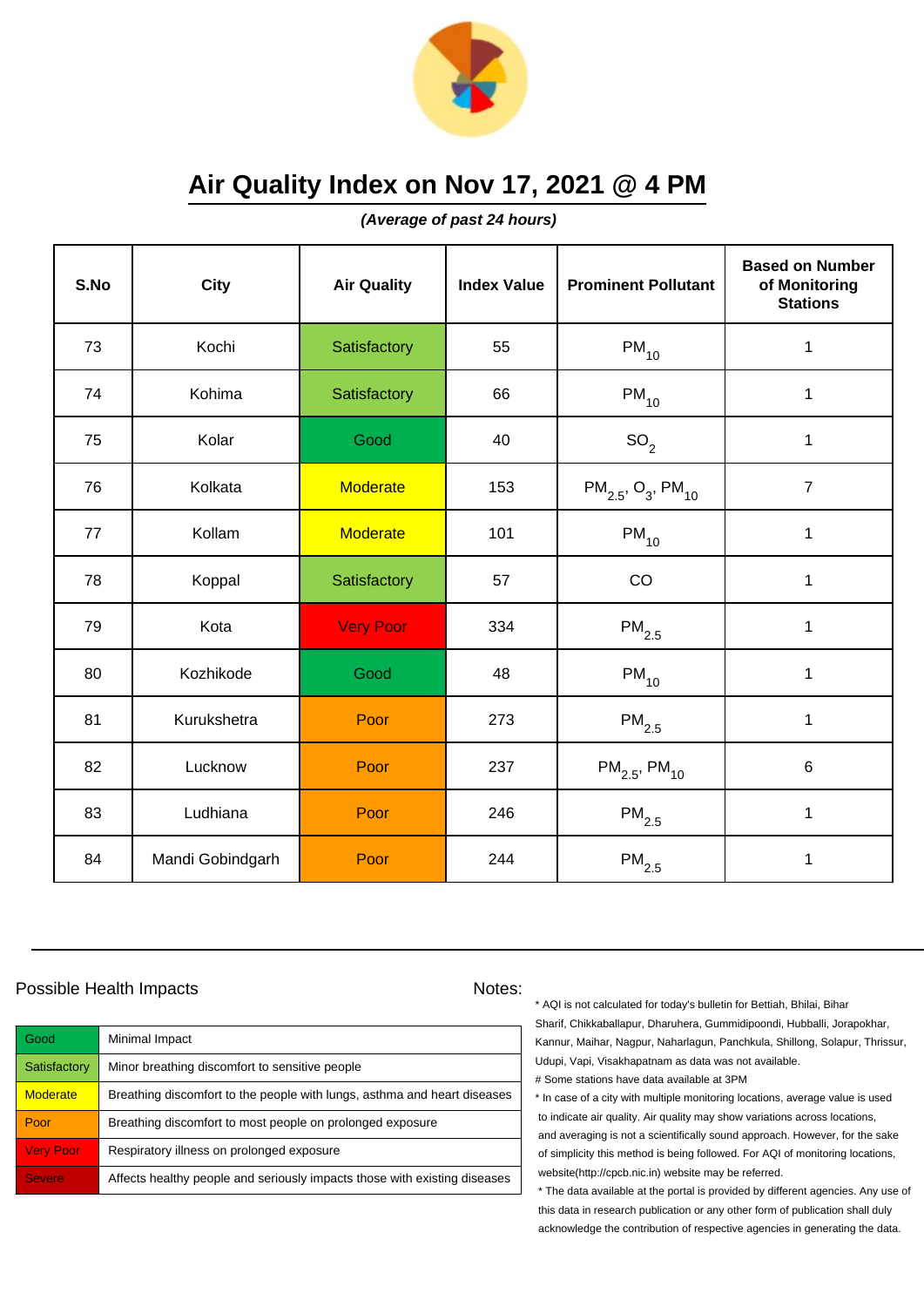

**(Average of past 24 hours)**

| S.No | City             | <b>Air Quality</b> | <b>Index Value</b> | <b>Prominent Pollutant</b>                     | <b>Based on Number</b><br>of Monitoring<br><b>Stations</b> |
|------|------------------|--------------------|--------------------|------------------------------------------------|------------------------------------------------------------|
| 73   | Kochi            | Satisfactory       | 55                 | $PM_{10}$                                      | $\mathbf{1}$                                               |
| 74   | Kohima           | Satisfactory       | 66                 | $PM_{10}$                                      | $\mathbf 1$                                                |
| 75   | Kolar            | Good               | 40                 | SO <sub>2</sub>                                | 1                                                          |
| 76   | Kolkata          | <b>Moderate</b>    | 153                | $PM_{2.5}$ , O <sub>3</sub> , PM <sub>10</sub> | $\overline{7}$                                             |
| 77   | Kollam           | <b>Moderate</b>    | 101                | $PM_{10}$                                      | $\mathbf 1$                                                |
| 78   | Koppal           | Satisfactory       | 57                 | CO                                             | $\mathbf 1$                                                |
| 79   | Kota             | <b>Very Poor</b>   | 334                | $\mathsf{PM}_{2.5}$                            | $\mathbf 1$                                                |
| 80   | Kozhikode        | Good               | 48                 | $PM_{10}$                                      | $\mathbf{1}$                                               |
| 81   | Kurukshetra      | Poor               | 273                | $PM_{2.5}$                                     | $\mathbf 1$                                                |
| 82   | Lucknow          | Poor               | 237                | $PM_{2.5}$ , PM <sub>10</sub>                  | 6                                                          |
| 83   | Ludhiana         | Poor               | 246                | $\mathsf{PM}_{2.5}$                            | $\mathbf{1}$                                               |
| 84   | Mandi Gobindgarh | Poor               | 244                | $\mathsf{PM}_{2.5}$                            | 1                                                          |

### Possible Health Impacts Notes:

| Good             | Minimal Impact                                                            |
|------------------|---------------------------------------------------------------------------|
| Satisfactory     | Minor breathing discomfort to sensitive people                            |
| <b>Moderate</b>  | Breathing discomfort to the people with lungs, asthma and heart diseases  |
| Poor             | Breathing discomfort to most people on prolonged exposure                 |
| <b>Very Poor</b> | Respiratory illness on prolonged exposure                                 |
| <b>Severe</b>    | Affects healthy people and seriously impacts those with existing diseases |

\* AQI is not calculated for today's bulletin for Bettiah, Bhilai, Bihar Sharif, Chikkaballapur, Dharuhera, Gummidipoondi, Hubballi, Jorapokhar, Kannur, Maihar, Nagpur, Naharlagun, Panchkula, Shillong, Solapur, Thrissur, Udupi, Vapi, Visakhapatnam as data was not available. # Some stations have data available at 3PM

\* In case of a city with multiple monitoring locations, average value is used to indicate air quality. Air quality may show variations across locations, and averaging is not a scientifically sound approach. However, for the sake of simplicity this method is being followed. For AQI of monitoring locations, website(http://cpcb.nic.in) website may be referred.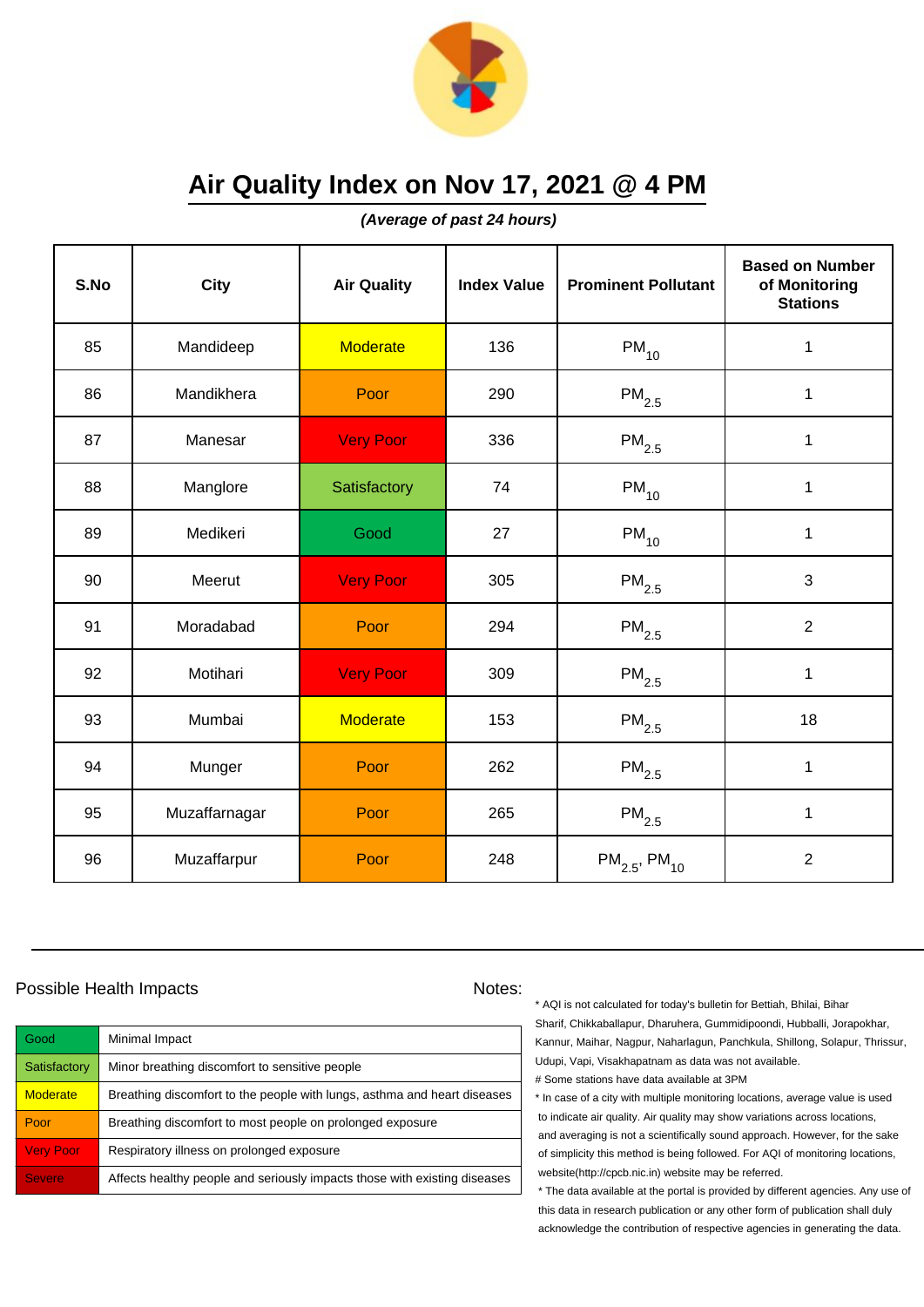

**(Average of past 24 hours)**

| S.No | City          | <b>Air Quality</b> | <b>Index Value</b> | <b>Prominent Pollutant</b>    | <b>Based on Number</b><br>of Monitoring<br><b>Stations</b> |
|------|---------------|--------------------|--------------------|-------------------------------|------------------------------------------------------------|
| 85   | Mandideep     | <b>Moderate</b>    | 136                | $PM_{10}$                     | 1                                                          |
| 86   | Mandikhera    | Poor               | 290                | $\mathsf{PM}_{2.5}$           | 1                                                          |
| 87   | Manesar       | <b>Very Poor</b>   | 336                | $\mathsf{PM}_{2.5}$           | 1                                                          |
| 88   | Manglore      | Satisfactory       | 74                 | $PM_{10}$                     | 1                                                          |
| 89   | Medikeri      | Good               | 27                 | $PM_{10}$                     | $\mathbf 1$                                                |
| 90   | Meerut        | <b>Very Poor</b>   | 305                | $\mathsf{PM}_{2.5}$           | 3                                                          |
| 91   | Moradabad     | Poor               | 294                | $\mathsf{PM}_{2.5}$           | $\overline{2}$                                             |
| 92   | Motihari      | <b>Very Poor</b>   | 309                | $\mathsf{PM}_{2.5}$           | 1                                                          |
| 93   | Mumbai        | <b>Moderate</b>    | 153                | $\mathsf{PM}_{2.5}$           | 18                                                         |
| 94   | Munger        | Poor               | 262                | $PM_{2.5}$                    | $\mathbf 1$                                                |
| 95   | Muzaffarnagar | Poor               | 265                | $\mathsf{PM}_{2.5}$           | 1                                                          |
| 96   | Muzaffarpur   | Poor               | 248                | $PM_{2.5}$ , PM <sub>10</sub> | $\overline{2}$                                             |

### Possible Health Impacts Notes:

| Good             | Minimal Impact                                                            |
|------------------|---------------------------------------------------------------------------|
| Satisfactory     | Minor breathing discomfort to sensitive people                            |
| <b>Moderate</b>  | Breathing discomfort to the people with lungs, asthma and heart diseases  |
| Poor             | Breathing discomfort to most people on prolonged exposure                 |
| <b>Very Poor</b> | Respiratory illness on prolonged exposure                                 |
| <b>Severe</b>    | Affects healthy people and seriously impacts those with existing diseases |

\* AQI is not calculated for today's bulletin for Bettiah, Bhilai, Bihar Sharif, Chikkaballapur, Dharuhera, Gummidipoondi, Hubballi, Jorapokhar, Kannur, Maihar, Nagpur, Naharlagun, Panchkula, Shillong, Solapur, Thrissur, Udupi, Vapi, Visakhapatnam as data was not available. # Some stations have data available at 3PM

\* In case of a city with multiple monitoring locations, average value is used to indicate air quality. Air quality may show variations across locations, and averaging is not a scientifically sound approach. However, for the sake of simplicity this method is being followed. For AQI of monitoring locations, website(http://cpcb.nic.in) website may be referred.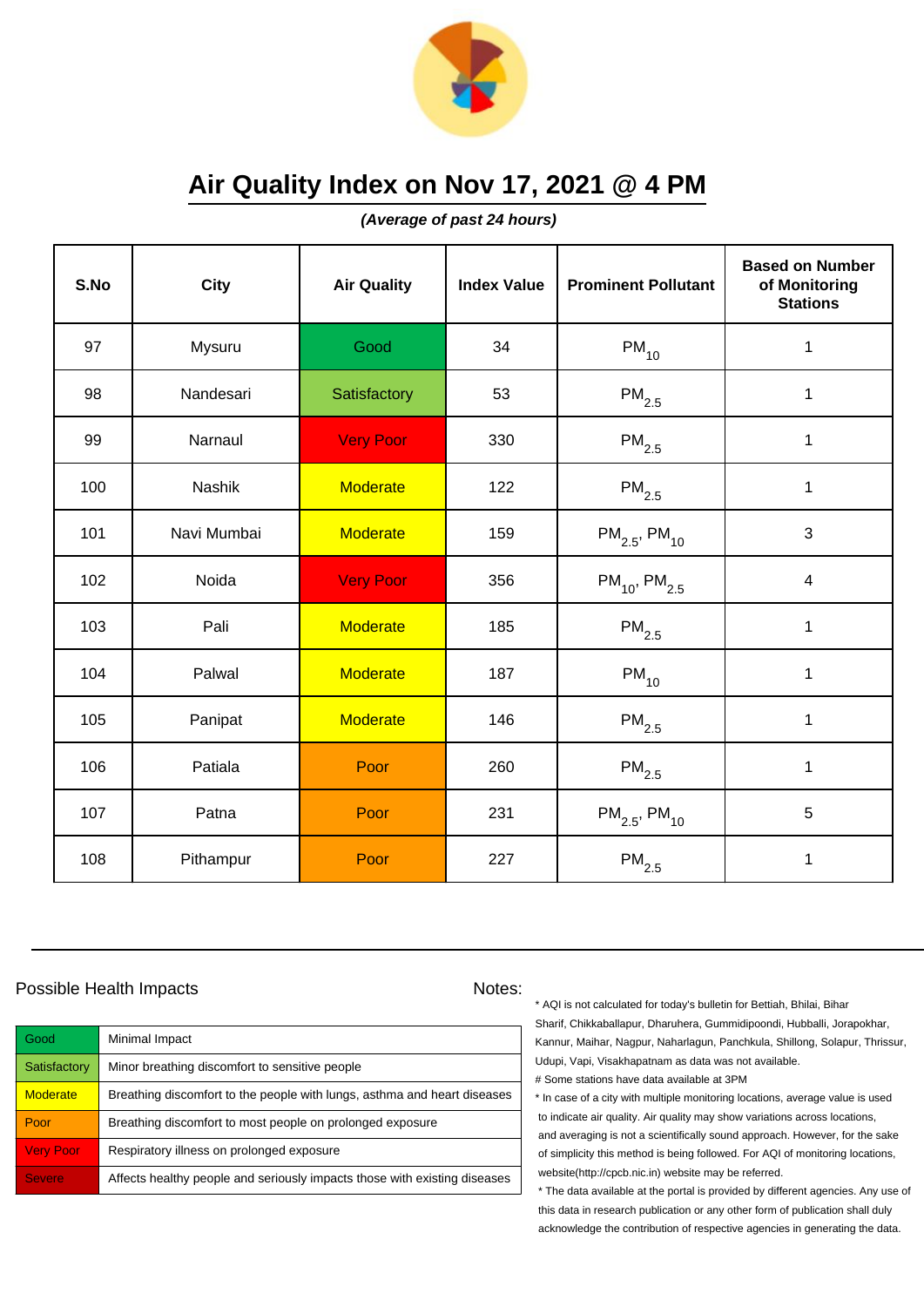

**(Average of past 24 hours)**

| S.No | <b>City</b>   | <b>Air Quality</b> | <b>Index Value</b> | <b>Prominent Pollutant</b>    | <b>Based on Number</b><br>of Monitoring<br><b>Stations</b> |
|------|---------------|--------------------|--------------------|-------------------------------|------------------------------------------------------------|
| 97   | Mysuru        | Good               | 34                 | $PM_{10}$                     | $\mathbf 1$                                                |
| 98   | Nandesari     | Satisfactory       | 53                 | $\mathsf{PM}_{2.5}$           | 1                                                          |
| 99   | Narnaul       | <b>Very Poor</b>   | 330                | $\mathsf{PM}_{2.5}$           | $\mathbf 1$                                                |
| 100  | <b>Nashik</b> | <b>Moderate</b>    | 122                | $\mathsf{PM}_{2.5}$           | 1                                                          |
| 101  | Navi Mumbai   | <b>Moderate</b>    | 159                | $PM_{2.5}$ , PM <sub>10</sub> | 3                                                          |
| 102  | Noida         | <b>Very Poor</b>   | 356                | $PM_{10}$ , PM <sub>2.5</sub> | 4                                                          |
| 103  | Pali          | <b>Moderate</b>    | 185                | $\mathsf{PM}_{2.5}$           | 1                                                          |
| 104  | Palwal        | <b>Moderate</b>    | 187                | $PM_{10}$                     | 1                                                          |
| 105  | Panipat       | <b>Moderate</b>    | 146                | $\mathsf{PM}_{2.5}$           | $\mathbf 1$                                                |
| 106  | Patiala       | Poor               | 260                | $PM_{2.5}$                    | $\mathbf 1$                                                |
| 107  | Patna         | Poor               | 231                | $PM_{2.5}$ , PM <sub>10</sub> | 5                                                          |
| 108  | Pithampur     | Poor               | 227                | $\mathsf{PM}_{2.5}$           | 1                                                          |

### Possible Health Impacts Notes:

| Good             | Minimal Impact                                                            |
|------------------|---------------------------------------------------------------------------|
| Satisfactory     | Minor breathing discomfort to sensitive people                            |
| <b>Moderate</b>  | Breathing discomfort to the people with lungs, asthma and heart diseases  |
| Poor             | Breathing discomfort to most people on prolonged exposure                 |
| <b>Very Poor</b> | Respiratory illness on prolonged exposure                                 |
| <b>Severe</b>    | Affects healthy people and seriously impacts those with existing diseases |

\* AQI is not calculated for today's bulletin for Bettiah, Bhilai, Bihar Sharif, Chikkaballapur, Dharuhera, Gummidipoondi, Hubballi, Jorapokhar, Kannur, Maihar, Nagpur, Naharlagun, Panchkula, Shillong, Solapur, Thrissur, Udupi, Vapi, Visakhapatnam as data was not available. # Some stations have data available at 3PM

\* In case of a city with multiple monitoring locations, average value is used to indicate air quality. Air quality may show variations across locations, and averaging is not a scientifically sound approach. However, for the sake of simplicity this method is being followed. For AQI of monitoring locations, website(http://cpcb.nic.in) website may be referred.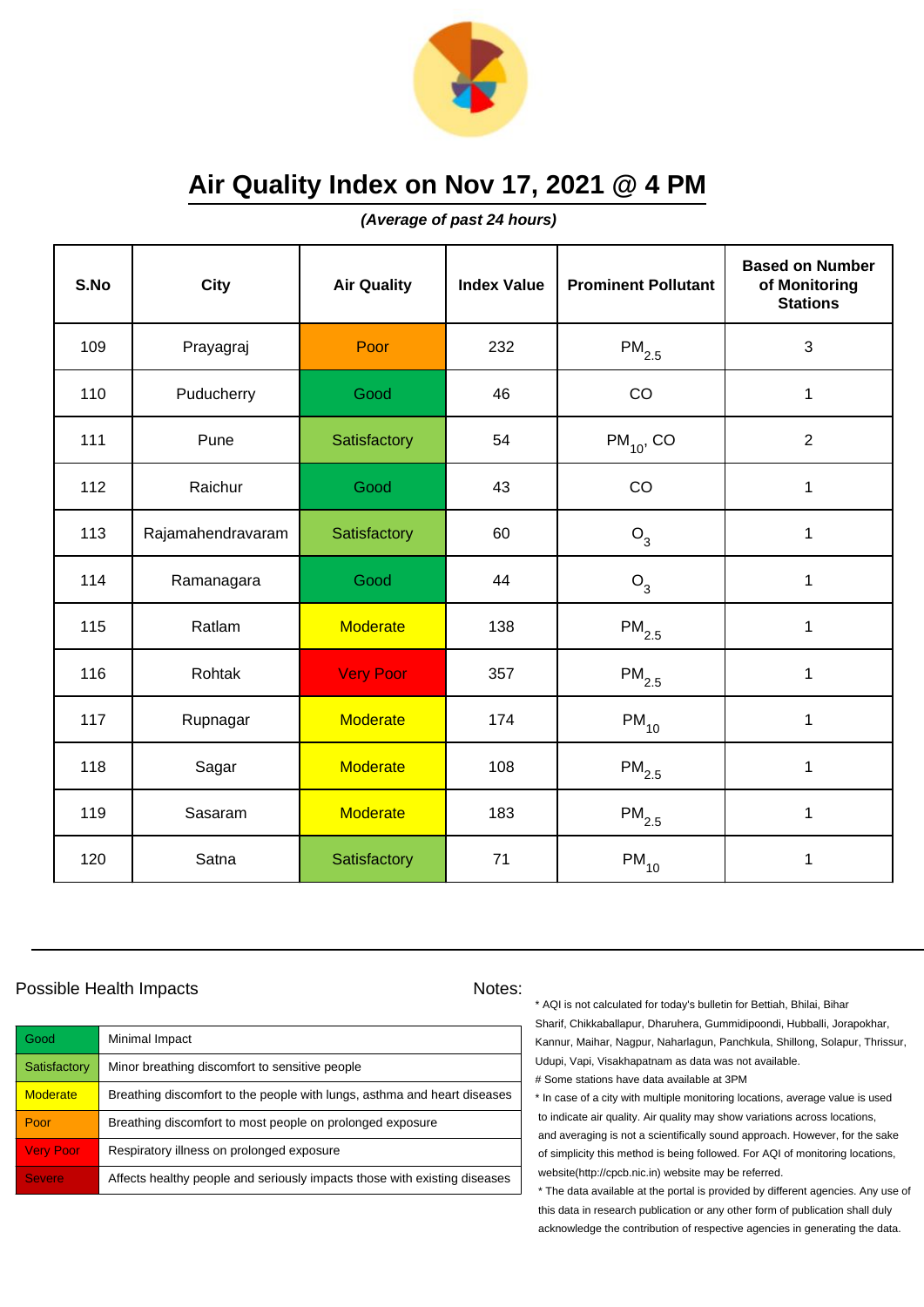

**(Average of past 24 hours)**

| S.No | <b>City</b>       | <b>Air Quality</b> | <b>Index Value</b> | <b>Prominent Pollutant</b> | <b>Based on Number</b><br>of Monitoring<br><b>Stations</b> |
|------|-------------------|--------------------|--------------------|----------------------------|------------------------------------------------------------|
| 109  | Prayagraj         | Poor               | 232                | $PM_{2.5}$                 | $\sqrt{3}$                                                 |
| 110  | Puducherry        | Good               | 46                 | CO                         | $\mathbf 1$                                                |
| 111  | Pune              | Satisfactory       | 54                 | $PM_{10}$ , CO             | $\overline{2}$                                             |
| 112  | Raichur           | Good               | 43                 | CO                         | 1                                                          |
| 113  | Rajamahendravaram | Satisfactory       | 60                 | $O_3$                      | $\mathbf 1$                                                |
| 114  | Ramanagara        | Good               | 44                 | $O_3$                      | 1                                                          |
| 115  | Ratlam            | <b>Moderate</b>    | 138                | $\mathsf{PM}_{2.5}$        | 1                                                          |
| 116  | Rohtak            | <b>Very Poor</b>   | 357                | $PM_{2.5}$                 | 1                                                          |
| 117  | Rupnagar          | <b>Moderate</b>    | 174                | $PM_{10}$                  | $\mathbf 1$                                                |
| 118  | Sagar             | <b>Moderate</b>    | 108                | $PM_{2.5}$                 | 1                                                          |
| 119  | Sasaram           | <b>Moderate</b>    | 183                | $PM_{2.5}$                 | 1                                                          |
| 120  | Satna             | Satisfactory       | 71                 | $PM_{10}$                  | 1                                                          |

### Possible Health Impacts Notes:

| Good             | Minimal Impact                                                            |
|------------------|---------------------------------------------------------------------------|
| Satisfactory     | Minor breathing discomfort to sensitive people                            |
| <b>Moderate</b>  | Breathing discomfort to the people with lungs, asthma and heart diseases  |
| Poor             | Breathing discomfort to most people on prolonged exposure                 |
| <b>Very Poor</b> | Respiratory illness on prolonged exposure                                 |
| <b>Severe</b>    | Affects healthy people and seriously impacts those with existing diseases |

\* AQI is not calculated for today's bulletin for Bettiah, Bhilai, Bihar Sharif, Chikkaballapur, Dharuhera, Gummidipoondi, Hubballi, Jorapokhar, Kannur, Maihar, Nagpur, Naharlagun, Panchkula, Shillong, Solapur, Thrissur, Udupi, Vapi, Visakhapatnam as data was not available. # Some stations have data available at 3PM

\* In case of a city with multiple monitoring locations, average value is used to indicate air quality. Air quality may show variations across locations, and averaging is not a scientifically sound approach. However, for the sake of simplicity this method is being followed. For AQI of monitoring locations, website(http://cpcb.nic.in) website may be referred.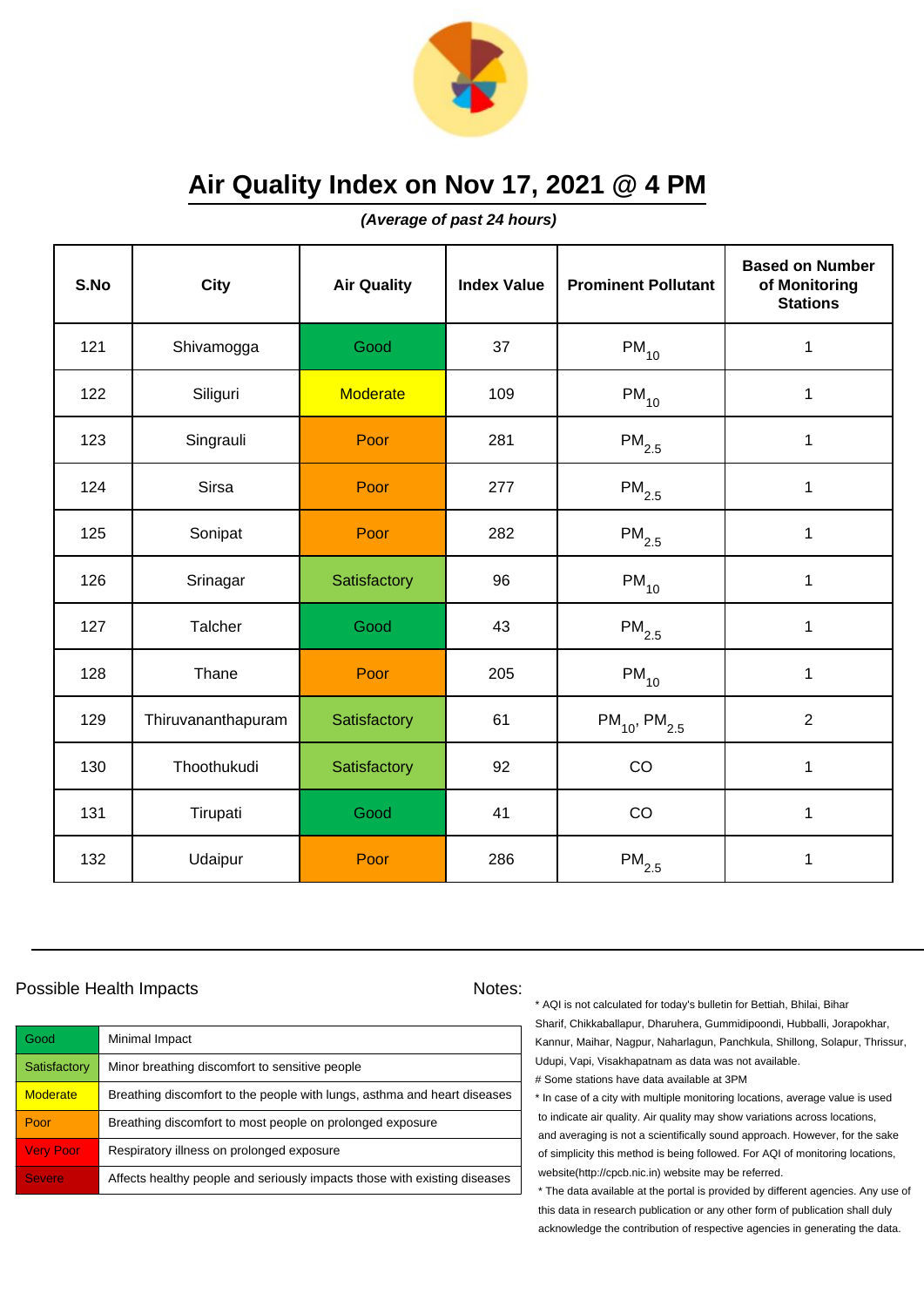

**(Average of past 24 hours)**

| S.No | <b>City</b>        | <b>Air Quality</b> | <b>Index Value</b> | <b>Prominent Pollutant</b>    | <b>Based on Number</b><br>of Monitoring<br><b>Stations</b> |
|------|--------------------|--------------------|--------------------|-------------------------------|------------------------------------------------------------|
| 121  | Shivamogga         | Good               | 37                 | $PM_{10}$                     | $\mathbf 1$                                                |
| 122  | Siliguri           | <b>Moderate</b>    | 109                | $PM_{10}$                     | $\mathbf 1$                                                |
| 123  | Singrauli          | Poor               | 281                | $\mathsf{PM}_{2.5}$           | 1                                                          |
| 124  | Sirsa              | Poor               | 277                | $PM_{2.5}$                    | 1                                                          |
| 125  | Sonipat            | Poor               | 282                | $PM_{2.5}$                    | 1                                                          |
| 126  | Srinagar           | Satisfactory       | 96                 | $PM_{10}$                     | 1                                                          |
| 127  | Talcher            | Good               | 43                 | $\mathsf{PM}_{2.5}$           | 1                                                          |
| 128  | Thane              | Poor               | 205                | $PM_{10}$                     | $\mathbf{1}$                                               |
| 129  | Thiruvananthapuram | Satisfactory       | 61                 | $PM_{10}$ , PM <sub>2.5</sub> | $\overline{2}$                                             |
| 130  | Thoothukudi        | Satisfactory       | 92                 | CO                            | $\mathbf{1}$                                               |
| 131  | Tirupati           | Good               | 41                 | CO                            | $\mathbf{1}$                                               |
| 132  | Udaipur            | Poor               | 286                | $\mathsf{PM}_{2.5}$           | 1                                                          |

### Possible Health Impacts Notes:

| Good             | Minimal Impact                                                            |
|------------------|---------------------------------------------------------------------------|
| Satisfactory     | Minor breathing discomfort to sensitive people                            |
| <b>Moderate</b>  | Breathing discomfort to the people with lungs, asthma and heart diseases  |
| Poor             | Breathing discomfort to most people on prolonged exposure                 |
| <b>Very Poor</b> | Respiratory illness on prolonged exposure                                 |
| <b>Severe</b>    | Affects healthy people and seriously impacts those with existing diseases |

\* AQI is not calculated for today's bulletin for Bettiah, Bhilai, Bihar Sharif, Chikkaballapur, Dharuhera, Gummidipoondi, Hubballi, Jorapokhar, Kannur, Maihar, Nagpur, Naharlagun, Panchkula, Shillong, Solapur, Thrissur, Udupi, Vapi, Visakhapatnam as data was not available. # Some stations have data available at 3PM

\* In case of a city with multiple monitoring locations, average value is used to indicate air quality. Air quality may show variations across locations, and averaging is not a scientifically sound approach. However, for the sake of simplicity this method is being followed. For AQI of monitoring locations, website(http://cpcb.nic.in) website may be referred.